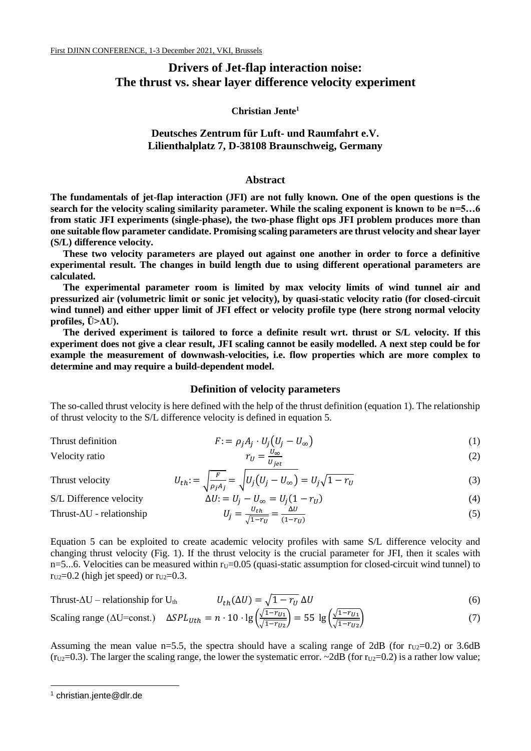# **Drivers of Jet-flap interaction noise: The thrust vs. shear layer difference velocity experiment**

## **Christian Jente<sup>1</sup>**

# **Deutsches Zentrum für Luft- und Raumfahrt e.V. Lilienthalplatz 7, D-38108 Braunschweig, Germany**

#### **Abstract**

**The fundamentals of jet-flap interaction (JFI) are not fully known. One of the open questions is the search for the velocity scaling similarity parameter. While the scaling exponent is known to be n=5…6 from static JFI experiments (single-phase), the two-phase flight ops JFI problem produces more than one suitable flow parameter candidate. Promising scaling parameters are thrust velocity and shear layer (S/L) difference velocity.**

**These two velocity parameters are played out against one another in order to force a definitive experimental result. The changes in build length due to using different operational parameters are calculated.**

**The experimental parameter room is limited by max velocity limits of wind tunnel air and pressurized air (volumetric limit or sonic jet velocity), by quasi-static velocity ratio (for closed-circuit wind tunnel) and either upper limit of JFI effect or velocity profile type (here strong normal velocity profiles, Ū>ΔU).** 

**The derived experiment is tailored to force a definite result wrt. thrust or S/L velocity. If this experiment does not give a clear result, JFI scaling cannot be easily modelled. A next step could be for example the measurement of downwash-velocities, i.e. flow properties which are more complex to determine and may require a build-dependent model.**

# **Definition of velocity parameters**

The so-called thrust velocity is here defined with the help of the thrust definition (equation 1). The relationship of thrust velocity to the S/L difference velocity is defined in equation 5.

$$
F := \rho_j A_j \cdot U_j \left( U_j - U_\infty \right) \tag{1}
$$

$$
V\text{electric ratio} \qquad \qquad r_U =
$$

$$
r_U = \frac{U_{\infty}}{U_{jet}}\tag{2}
$$

(5)

Thrust velocity *L* 

$$
U_{th} = \sqrt{\frac{F}{\rho_j A_j}} = \sqrt{U_j (U_j - U_{\infty})} = U_j \sqrt{1 - r_U}
$$
\n(3)

S/L Difference velocity

Thrust- $\Delta U$  - relationship

$$
\Delta U = U_j - U_{\infty} = U_j (1 - r_U) \tag{4}
$$

$$
U_j = \frac{U_{th}}{\sqrt{1 - r_U}} = \frac{\Delta U}{(1 - r_U)}
$$

Equation 5 can be exploited to create academic velocity profiles with same S/L difference velocity and changing thrust velocity (Fig. 1). If the thrust velocity is the crucial parameter for JFI, then it scales with n=5...6. Velocities can be measured within  $r_U=0.05$  (quasi-static assumption for closed-circuit wind tunnel) to  $r_{U2}=0.2$  (high jet speed) or  $r_{U2}=0.3$ .

$$
Thrust-\Delta U - relationship for Uth \qquad Uth(\Delta U) = \sqrt{1-r_U} \Delta U \qquad (6)
$$

Scaling range (AU=const.) 
$$
\Delta SPL_{Uth} = n \cdot 10 \cdot \lg \left( \frac{\sqrt{1 - r_{U1}}}{\sqrt{1 - r_{U2}}} \right) = 55 \lg \left( \frac{\sqrt{1 - r_{U1}}}{\sqrt{1 - r_{U2}}} \right)
$$
 (7)

Assuming the mean value n=5.5, the spectra should have a scaling range of 2dB (for  $r_{U2}=0.2$ ) or 3.6dB ( $r_{U2}=0.3$ ). The larger the scaling range, the lower the systematic error. ~2dB (for  $r_{U2}=0.2$ ) is a rather low value;

-

<sup>1</sup> christian.jente@dlr.de